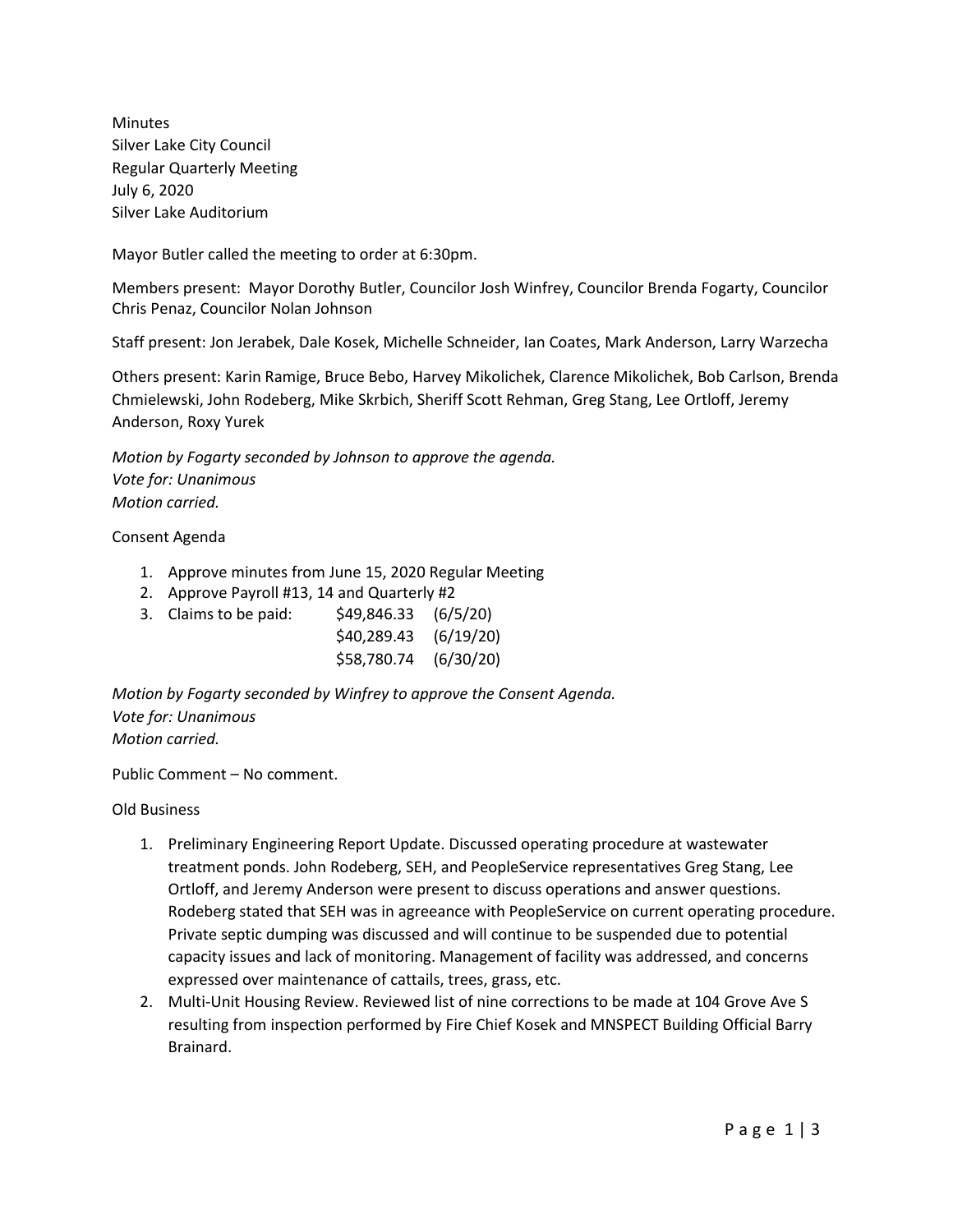Minutes Silver Lake City Council Regular Quarterly Meeting July 6, 2020 Silver Lake Auditorium

Mayor Butler called the meeting to order at 6:30pm.

Members present: Mayor Dorothy Butler, Councilor Josh Winfrey, Councilor Brenda Fogarty, Councilor Chris Penaz, Councilor Nolan Johnson

Staff present: Jon Jerabek, Dale Kosek, Michelle Schneider, Ian Coates, Mark Anderson, Larry Warzecha

Others present: Karin Ramige, Bruce Bebo, Harvey Mikolichek, Clarence Mikolichek, Bob Carlson, Brenda Chmielewski, John Rodeberg, Mike Skrbich, Sheriff Scott Rehman, Greg Stang, Lee Ortloff, Jeremy Anderson, Roxy Yurek

*Motion by Fogarty seconded by Johnson to approve the agenda. Vote for: Unanimous Motion carried.*

## Consent Agenda

- 1. Approve minutes from June 15, 2020 Regular Meeting
- 2. Approve Payroll #13, 14 and Quarterly #2
- 3. Claims to be paid: \$49,846.33 (6/5/20)

| \$40,289.43 | (6/19/20) |
|-------------|-----------|
| \$58,780.74 | (6/30/20) |

*Motion by Fogarty seconded by Winfrey to approve the Consent Agenda. Vote for: Unanimous Motion carried.*

Public Comment – No comment.

Old Business

- 1. Preliminary Engineering Report Update. Discussed operating procedure at wastewater treatment ponds. John Rodeberg, SEH, and PeopleService representatives Greg Stang, Lee Ortloff, and Jeremy Anderson were present to discuss operations and answer questions. Rodeberg stated that SEH was in agreeance with PeopleService on current operating procedure. Private septic dumping was discussed and will continue to be suspended due to potential capacity issues and lack of monitoring. Management of facility was addressed, and concerns expressed over maintenance of cattails, trees, grass, etc.
- 2. Multi-Unit Housing Review. Reviewed list of nine corrections to be made at 104 Grove Ave S resulting from inspection performed by Fire Chief Kosek and MNSPECT Building Official Barry Brainard.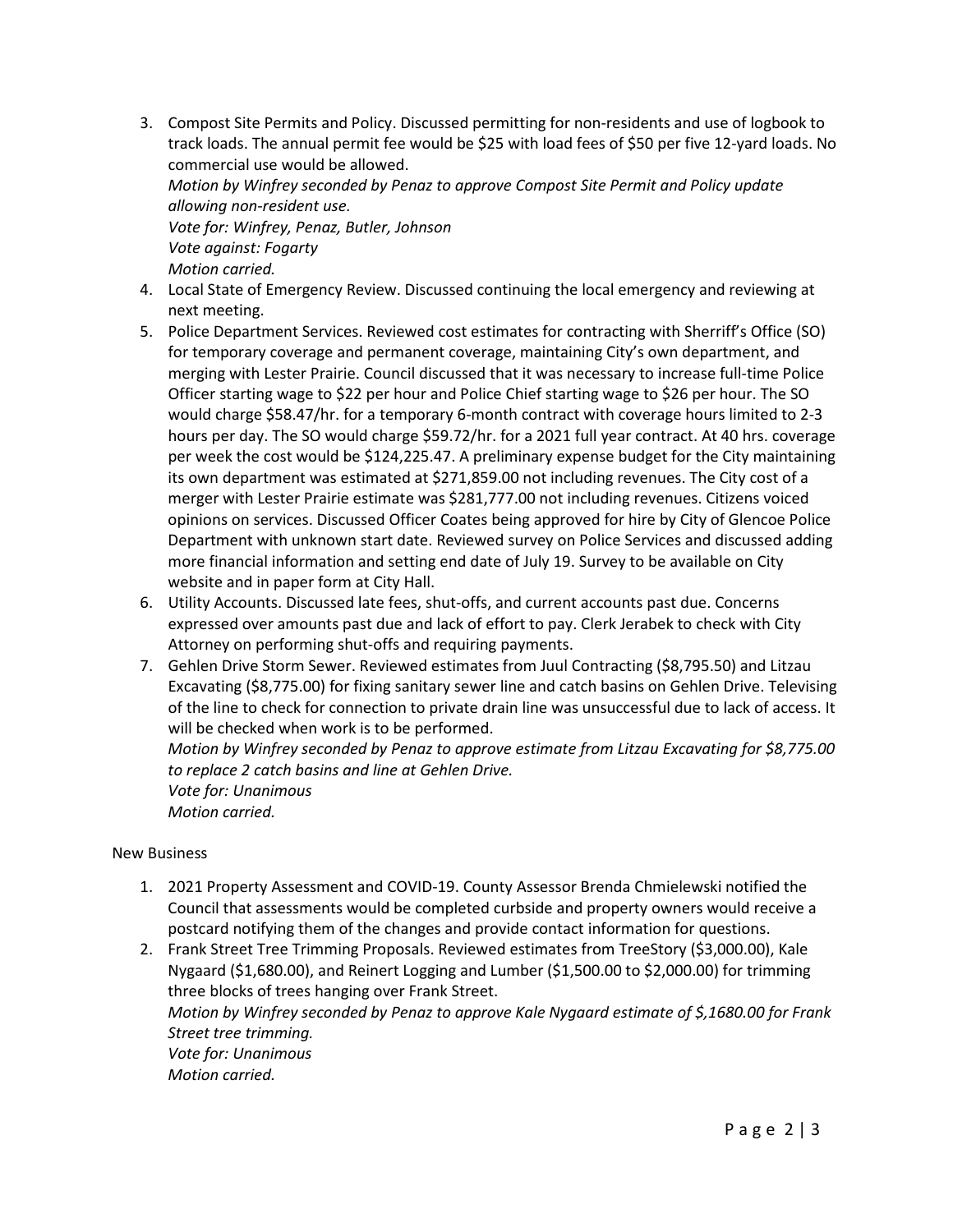3. Compost Site Permits and Policy. Discussed permitting for non-residents and use of logbook to track loads. The annual permit fee would be \$25 with load fees of \$50 per five 12-yard loads. No commercial use would be allowed.

*Motion by Winfrey seconded by Penaz to approve Compost Site Permit and Policy update allowing non-resident use.*

*Vote for: Winfrey, Penaz, Butler, Johnson Vote against: Fogarty Motion carried.* 

- 4. Local State of Emergency Review. Discussed continuing the local emergency and reviewing at next meeting.
- 5. Police Department Services. Reviewed cost estimates for contracting with Sherriff's Office (SO) for temporary coverage and permanent coverage, maintaining City's own department, and merging with Lester Prairie. Council discussed that it was necessary to increase full-time Police Officer starting wage to \$22 per hour and Police Chief starting wage to \$26 per hour. The SO would charge \$58.47/hr. for a temporary 6-month contract with coverage hours limited to 2-3 hours per day. The SO would charge \$59.72/hr. for a 2021 full year contract. At 40 hrs. coverage per week the cost would be \$124,225.47. A preliminary expense budget for the City maintaining its own department was estimated at \$271,859.00 not including revenues. The City cost of a merger with Lester Prairie estimate was \$281,777.00 not including revenues. Citizens voiced opinions on services. Discussed Officer Coates being approved for hire by City of Glencoe Police Department with unknown start date. Reviewed survey on Police Services and discussed adding more financial information and setting end date of July 19. Survey to be available on City website and in paper form at City Hall.
- 6. Utility Accounts. Discussed late fees, shut-offs, and current accounts past due. Concerns expressed over amounts past due and lack of effort to pay. Clerk Jerabek to check with City Attorney on performing shut-offs and requiring payments.
- 7. Gehlen Drive Storm Sewer. Reviewed estimates from Juul Contracting (\$8,795.50) and Litzau Excavating (\$8,775.00) for fixing sanitary sewer line and catch basins on Gehlen Drive. Televising of the line to check for connection to private drain line was unsuccessful due to lack of access. It will be checked when work is to be performed.

*Motion by Winfrey seconded by Penaz to approve estimate from Litzau Excavating for \$8,775.00 to replace 2 catch basins and line at Gehlen Drive. Vote for: Unanimous*

*Motion carried.*

## New Business

- 1. 2021 Property Assessment and COVID-19. County Assessor Brenda Chmielewski notified the Council that assessments would be completed curbside and property owners would receive a postcard notifying them of the changes and provide contact information for questions.
- 2. Frank Street Tree Trimming Proposals. Reviewed estimates from TreeStory (\$3,000.00), Kale Nygaard (\$1,680.00), and Reinert Logging and Lumber (\$1,500.00 to \$2,000.00) for trimming three blocks of trees hanging over Frank Street. *Motion by Winfrey seconded by Penaz to approve Kale Nygaard estimate of \$,1680.00 for Frank Street tree trimming.*

*Vote for: Unanimous Motion carried.*